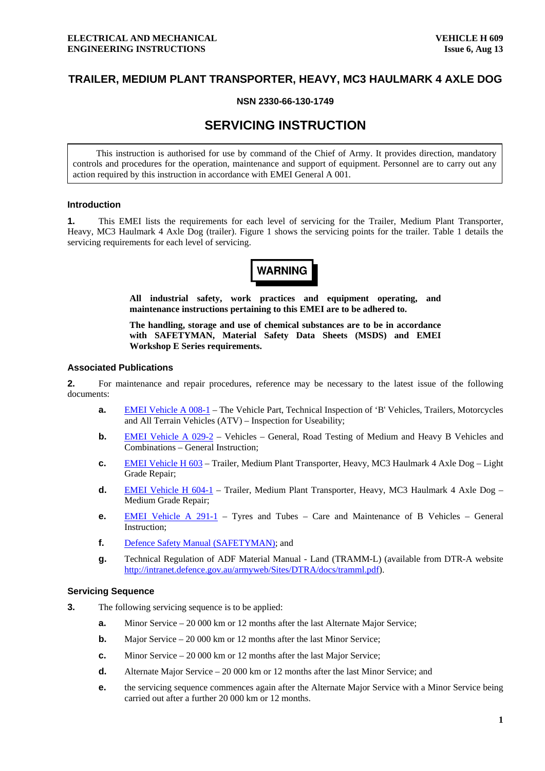# **TRAILER, MEDIUM PLANT TRANSPORTER, HEAVY, MC3 HAULMARK 4 AXLE DOG**

## **NSN 2330-66-130-1749**

# **SERVICING INSTRUCTION**

This instruction is authorised for use by command of the Chief of Army. It provides direction, mandatory controls and procedures for the operation, maintenance and support of equipment. Personnel are to carry out any action required by this instruction in accordance with EMEI General A 001.

#### **Introduction**

**1.** This EMEI lists the requirements for each level of servicing for the Trailer, Medium Plant Transporter, Heavy, MC3 Haulmark 4 Axle Dog (trailer). Figure [1](#page-1-0) shows the servicing points for the trailer. Table [1](#page-2-0) details the servicing requirements for each level of servicing.

**WARNING** 

**All industrial safety, work practices and equipment operating, and maintenance instructions pertaining to this EMEI are to be adhered to.** 

**The handling, storage and use of chemical substances are to be in accordance with SAFETYMAN, Material Safety Data Sheets (MSDS) and EMEI Workshop E Series requirements.** 

#### **Associated Publications**

**2.** For maintenance and repair procedures, reference may be necessary to the latest issue of the following documents:

- **a. EMEI Vehicle A 008-1** The Vehicle Part, Technical Inspection of 'B' Vehicles, Trailers, Motorcycles and All Terrain Vehicles (ATV) – Inspection for Useability;
- **b. [EMEI Vehicle A 029-2](http://vbmweb.sor.defence.gov.au/TECHDATA/dofa/emei/Vehicle/a029-2.pdf)** Vehicles General, Road Testing of Medium and Heavy B Vehicles and Combinations – General Instruction;
- **c.** [EMEI Vehicle H 603](http://vbmweb.sor.defence.gov.au/TECHDATA/dofa/emei/Vehicle/h603.pdf) Trailer, Medium Plant Transporter, Heavy, MC3 Haulmark 4 Axle Dog Light Grade Repair;
- **d.** [EMEI Vehicle H 604-1](http://vbmweb.sor.defence.gov.au/TECHDATA/dofa/emei/Vehicle/h604-1.pdf)  Trailer, Medium Plant Transporter, Heavy, MC3 Haulmark 4 Axle Dog Medium Grade Repair;
- **e.** [EMEI Vehicle A 291-1](http://vbmweb.sor.defence.gov.au/TECHDATA/dofa/emei/Vehicle/a291-1.pdf) Tyres and Tubes Care and Maintenance of B Vehicles General Instruction;
- **f.** [Defence Safety Manual \(SAFETYMAN\);](http://ohsc.defence.gov.au/SAFETYMAN/default.htm) and
- **g.** Technical Regulation of ADF Material Manual Land (TRAMM-L) (available from DTR-A website <http://intranet.defence.gov.au/armyweb/Sites/DTRA/docs/tramml.pdf>).

## **Servicing Sequence**

- **3.** The following servicing sequence is to be applied:
	- **a.** Minor Service 20 000 km or 12 months after the last Alternate Major Service;
	- **b.** Major Service 20 000 km or 12 months after the last Minor Service;
	- **c.** Minor Service 20 000 km or 12 months after the last Major Service;
	- **d.** Alternate Major Service 20 000 km or 12 months after the last Minor Service; and
	- **e. the servicing sequence commences again after the Alternate Major Service with a Minor Service being** carried out after a further 20 000 km or 12 months.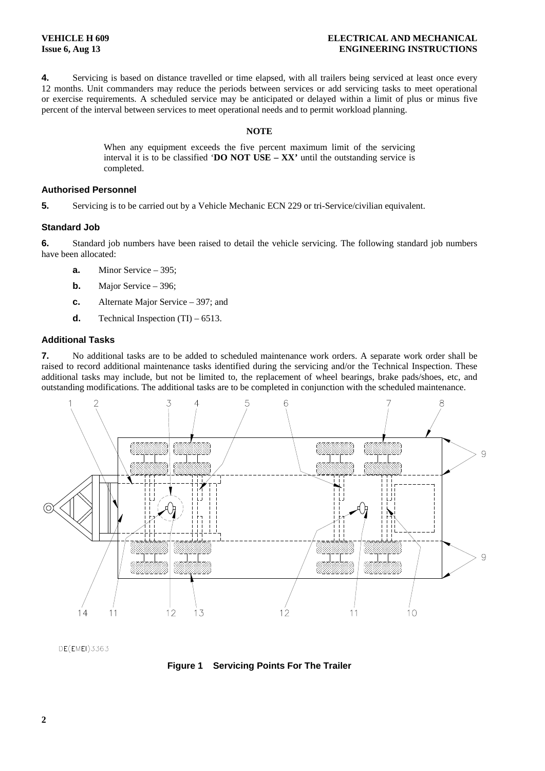<span id="page-1-0"></span>**4.** Servicing is based on distance travelled or time elapsed, with all trailers being serviced at least once every 12 months. Unit commanders may reduce the periods between services or add servicing tasks to meet operational or exercise requirements. A scheduled service may be anticipated or delayed within a limit of plus or minus five percent of the interval between services to meet operational needs and to permit workload planning.

#### **NOTE**

When any equipment exceeds the five percent maximum limit of the servicing interval it is to be classified '**DO NOT USE – XX'** until the outstanding service is completed.

#### **Authorised Personnel**

**5.** Servicing is to be carried out by a Vehicle Mechanic ECN 229 or tri-Service/civilian equivalent.

## **Standard Job**

**6.** Standard job numbers have been raised to detail the vehicle servicing. The following standard job numbers have been allocated:

- **a.** Minor Service 395;
- **b.** Major Service 396;
- **c.** Alternate Major Service 397; and
- **d.** Technical Inspection  $(TI) 6513$ .

# **Additional Tasks**

**7.** No additional tasks are to be added to scheduled maintenance work orders. A separate work order shall be raised to record additional maintenance tasks identified during the servicing and/or the Technical Inspection. These additional tasks may include, but not be limited to, the replacement of wheel bearings, brake pads/shoes, etc, and outstanding modifications. The additional tasks are to be completed in conjunction with the scheduled maintenance.



DE(EMEI)3363